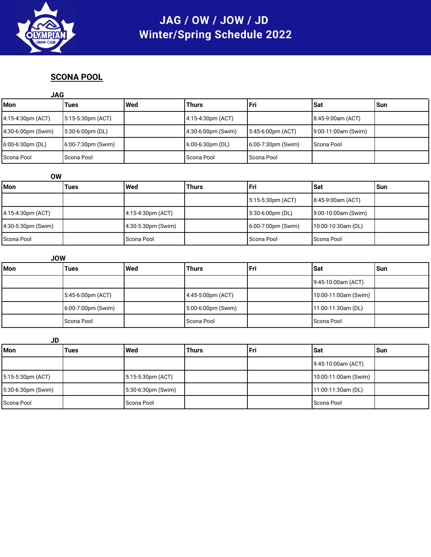

# JAG / OW / JOW / JD **Winter/Spring Schedule 2022**

#### **SCONA POOL**

| <b>JAG</b>          |                    |     |                    |                       |                     |       |
|---------------------|--------------------|-----|--------------------|-----------------------|---------------------|-------|
| <b>Mon</b>          | Tues               | Wed | <b>Thurs</b>       | l Fri                 | l Sat               | l Sun |
| 4:15-4:30pm (ACT)   | 5:15-5:30pm (ACT)  |     | 4:15-4:30pm (ACT)  |                       | 8:45-9:00am (ACT)   |       |
| 4:30-6:00pm (Swim)  | 5:30-6:00pm (DL)   |     | 4:30-6:00pm (Swim) | 5:45-6:00pm (ACT)     | 9:00-11:00am (Swim) |       |
| $6:00-6:30$ pm (DL) | 6:00-7:30pm (Swim) |     | 6:00-6:30pm (DL)   | $6:00-7:30$ pm (Swim) | Scona Pool          |       |
| Scona Pool          | Scona Pool         |     | Scona Pool         | Scona Pool            |                     |       |

| OW                 |             |                     |       |                       |                     |       |
|--------------------|-------------|---------------------|-------|-----------------------|---------------------|-------|
| l Mon              | <b>Tues</b> | l Wed               | Thurs | l Fri                 | <b>Sat</b>          | l Sun |
|                    |             |                     |       | $5:15-5:30pm (ACT)$   | $8:45-9:00am (ACT)$ |       |
| 4:15-4:30pm (ACT)  |             | $4:15-4:30pm (ACT)$ |       | 5:30-6:00pm (DL)      | 9:00-10:00am (Swim) |       |
| 4:30-5:30pm (Swim) |             | 4:30-5:30pm (Swim)  |       | $6:00-7:00$ pm (Swim) | $10:00-10:30am(DL)$ |       |
| Scona Pool         |             | Scona Pool          |       | l Scona Pool          | <b>Scona Pool</b>   |       |

| <b>JOW</b> |                       |       |                       |     |                      |     |
|------------|-----------------------|-------|-----------------------|-----|----------------------|-----|
| Mon        | Tues                  | l Wed | <b>Thurs</b>          | Fri | <b>ISat</b>          | Sun |
|            |                       |       |                       |     | $9:45-10:00am (ACT)$ |     |
|            | 5:45-6:00pm (ACT)     |       | 4:45-5:00pm (ACT)     |     | 10:00-11:00am (Swim) |     |
|            | $6:00-7:00$ pm (Swim) |       | $5:00-6:00$ pm (Swim) |     | $11:00-11:30am(DL)$  |     |
|            | Scona Pool            |       | Scona Pool            |     | Scona Pool           |     |

**JD Mon Tues Wed Thurs Fri Sat Sun** 9:45-10:00am (ACT) 5:15-5:30pm (ACT) 5:15-5:30pm (ACT) 10:00-11:00am (Swim) 5:30-6:30pm (Swim) 5:30-6:30pm (Swim) 11:00-11:30am (DL) Scona Pool Scona Pool Scona Pool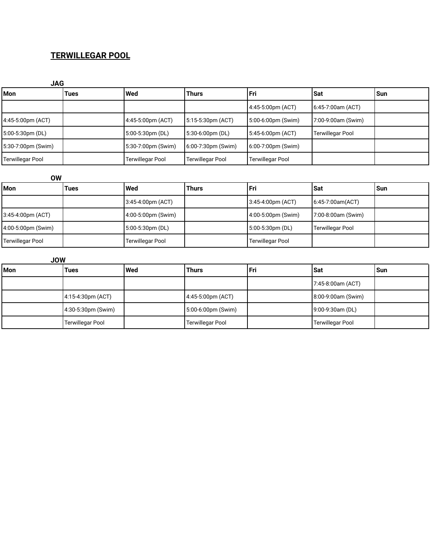#### **TERWILLEGAR POOL**

| <b>JAG</b>              |      |                    |                         |                         |                         |       |
|-------------------------|------|--------------------|-------------------------|-------------------------|-------------------------|-------|
| <b>Mon</b>              | Tues | <b>Wed</b>         | <b>Thurs</b>            | l Fri                   | l Sat                   | l Sun |
|                         |      |                    |                         | 4:45-5:00pm (ACT)       | 6:45-7:00am (ACT)       |       |
| 4:45-5:00pm (ACT)       |      | 4:45-5:00pm (ACT)  | 5:15-5:30pm (ACT)       | 5:00-6:00pm (Swim)      | 7:00-9:00am (Swim)      |       |
| $5:00-5:30$ pm (DL)     |      | 5:00-5:30pm (DL)   | 5:30-6:00pm (DL)        | 5:45-6:00pm (ACT)       | <b>Terwillegar Pool</b> |       |
| 5:30-7:00pm (Swim)      |      | 5:30-7:00pm (Swim) | 6:00-7:30pm (Swim)      | 6:00-7:00pm (Swim)      |                         |       |
| <b>Terwillegar Pool</b> |      | Terwillegar Pool   | <b>Terwillegar Pool</b> | <b>Terwillegar Pool</b> |                         |       |

| <b>OW</b>               |      |                         |       |                         |                         |       |
|-------------------------|------|-------------------------|-------|-------------------------|-------------------------|-------|
| <b>Mon</b>              | Tues | <b>Wed</b>              | Thurs | l Fri                   | l Sat                   | l Sun |
|                         |      | $3:45-4:00pm (ACT)$     |       | 3:45-4:00pm (ACT)       | $6:45-7:00am(ACT)$      |       |
| 3:45-4:00pm (ACT)       |      | $(4:00-5:00pm$ (Swim)   |       | 4:00-5:00pm (Swim)      | 7:00-8:00am (Swim)      |       |
| 4:00-5:00pm (Swim)      |      | 5:00-5:30pm (DL)        |       | 5:00-5:30pm (DL)        | <b>Terwillegar Pool</b> |       |
| <b>Terwillegar Pool</b> |      | <b>Terwillegar Pool</b> |       | <b>Terwillegar Pool</b> |                         |       |

| <b>JOW</b> |                         |            |                         |     |                    |       |  |
|------------|-------------------------|------------|-------------------------|-----|--------------------|-------|--|
| <b>Mon</b> | Tues                    | <b>Wed</b> | <b>Thurs</b>            | Fri | <b>Sat</b>         | l Sun |  |
|            |                         |            |                         |     | 7:45-8:00am (ACT)  |       |  |
|            | $4:15-4:30pm (ACT)$     |            | 4:45-5:00pm (ACT)       |     | 8:00-9:00am (Swim) |       |  |
|            | 4:30-5:30pm (Swim)      |            | 5:00-6:00pm (Swim)      |     | 9:00-9:30am (DL)   |       |  |
|            | <b>Terwillegar Pool</b> |            | <b>Terwillegar Pool</b> |     | Terwillegar Pool   |       |  |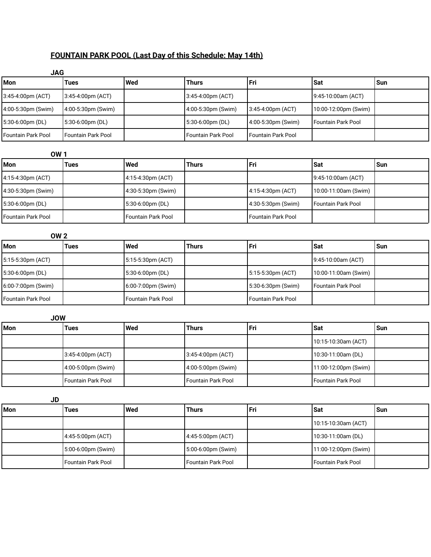### **FOUNTAIN PARK POOL (Last Day of this Schedule: May 14th)**

| <b>JAG</b>         |                           |     |                      |                      |                           |       |
|--------------------|---------------------------|-----|----------------------|----------------------|---------------------------|-------|
| <b>Mon</b>         | Tues                      | Wed | Thurs                | Fri                  | <b>ISat</b>               | l Sun |
| 3:45-4:00pm (ACT)  | 3:45-4:00pm (ACT)         |     | 3:45-4:00pm (ACT)    |                      | $9:45-10:00am (ACT)$      |       |
| 4:00-5:30pm (Swim) | 4:00-5:30pm (Swim)        |     | 4:00-5:30pm (Swim)   | 3:45-4:00pm (ACT)    | 10:00-12:00pm (Swim)      |       |
| 5:30-6:00pm (DL)   | 5:30-6:00pm (DL)          |     | 5:30-6:00pm (DL)     | 4:00-5:30pm (Swim)   | <b>Fountain Park Pool</b> |       |
| Fountain Park Pool | <b>Fountain Park Pool</b> |     | l Fountain Park Pool | l Fountain Park Pool |                           |       |

| <b>OW1</b>             |             |                           |              |                      |                      |     |
|------------------------|-------------|---------------------------|--------------|----------------------|----------------------|-----|
| <b>IMon</b>            | <b>Tues</b> | l Wed                     | <b>Thurs</b> | l Fri                | l Sat                | Sun |
| $4:15-4:30pm (ACT)$    |             | $4:15-4:30pm (ACT)$       |              |                      | 9:45-10:00am (ACT)   |     |
| $(4:30-5:30pm (Swim))$ |             | 4:30-5:30pm (Swim)        |              | 4:15-4:30pm (ACT)    | 10:00-11:00am (Swim) |     |
| 5:30-6:00pm (DL)       |             | 5:30-6:00pm (DL)          |              | $4:30-5:30pm$ (Swim) | l Fountain Park Pool |     |
| Fountain Park Pool     |             | <b>Fountain Park Pool</b> |              | l Fountain Park Pool |                      |     |

| <b>OW 2</b>          |      |                       |              |                      |                      |       |
|----------------------|------|-----------------------|--------------|----------------------|----------------------|-------|
| l Mon                | Tues | Wed                   | <b>Thurs</b> | l Fri                | l Sat                | l Sun |
| 5:15-5:30pm (ACT)    |      | $ 5:15-5:30$ pm (ACT) |              |                      | 9:45-10:00am (ACT)   |       |
| 5:30-6:00pm (DL)     |      | $5:30-6:00pm (DL)$    |              | $5:15-5:30pm (ACT)$  | 10:00-11:00am (Swim) |       |
| 6:00-7:00pm (Swim)   |      | $6:00-7:00$ pm (Swim) |              | $5:30-6:30pm$ (Swim) | l Fountain Park Pool |       |
| l Fountain Park Pool |      | Fountain Park Pool    |              | Fountain Park Pool   |                      |       |

| <b>JOW</b> |                      |       |                      |       |                       |     |  |
|------------|----------------------|-------|----------------------|-------|-----------------------|-----|--|
| l Mon      | <b>Tues</b>          | l Wed | <b>Thurs</b>         | l Fri | l Sat                 | Sun |  |
|            |                      |       |                      |       | $10:15-10:30am (ACT)$ |     |  |
|            | 3:45-4:00pm (ACT)    |       | $3:45-4:00pm (ACT)$  |       | 10:30-11:00am (DL)    |     |  |
|            | 4:00-5:00pm (Swim)   |       | 4:00-5:00pm (Swim)   |       | 11:00-12:00pm (Swim)  |     |  |
|            | l Fountain Park Pool |       | l Fountain Park Pool |       | Fountain Park Pool    |     |  |

| <b>JD</b> |                      |       |                    |       |                      |     |
|-----------|----------------------|-------|--------------------|-------|----------------------|-----|
| l Mon     | <b>Tues</b>          | l Wed | <b>Thurs</b>       | l Fri | <b>ISat</b>          | Sun |
|           |                      |       |                    |       | 10:15-10:30am (ACT)  |     |
|           | 4:45-5:00pm (ACT)    |       | 4:45-5:00pm (ACT)  |       | 10:30-11:00am (DL)   |     |
|           | 5:00-6:00pm (Swim)   |       | 5:00-6:00pm (Swim) |       | 11:00-12:00pm (Swim) |     |
|           | l Fountain Park Pool |       | Fountain Park Pool |       | Fountain Park Pool   |     |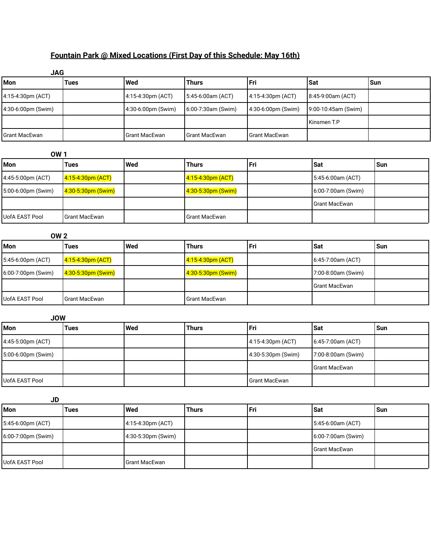## **Fountain Park @ Mixed Locations (First Day of this Schedule: May 16th)**

| <b>JAG</b>           |      |                               |                    |                     |                        |       |
|----------------------|------|-------------------------------|--------------------|---------------------|------------------------|-------|
| <b>Mon</b>           | Tues | l Wed                         | <b>Thurs</b>       | l Fri               | ∣Sat                   | l Sun |
| 4:15-4:30pm (ACT)    |      | $4:15-4:30pm (ACT)$           | 5:45-6:00am (ACT)  | $4:15-4:30pm (ACT)$ | $ 8:45-9:00am (ACT) $  |       |
| 4:30-6:00pm (Swim)   |      | $(4:30-6:00 \text{pm}$ (Swim) | 6:00-7:30am (Swim) | 4:30-6:00pm (Swim)  | $(9:00-10:45am(Swim))$ |       |
|                      |      |                               |                    |                     | l Kinsmen T.P          |       |
| <b>Grant MacEwan</b> |      | <b>Grant MacEwan</b>          | l Grant MacEwan    | l Grant MacEwan     |                        |       |

| <b>OW1</b>            |                        |     |                         |     |                    |      |
|-----------------------|------------------------|-----|-------------------------|-----|--------------------|------|
| <b>Mon</b>            | Tues                   | Wed | Thurs                   | Fri | <b>ISat</b>        | 'Sun |
| 4:45-5:00pm (ACT)     | $4:15 - 4:30$ pm (ACT) |     | 4:15-4:30pm (ACT)       |     | 5:45-6:00am (ACT)  |      |
| 5:00-6:00pm (Swim)    | $4:30-5:30pm$ (Swim)   |     | $4:30 - 5:30$ pm (Swim) |     | 6:00-7:00am (Swim) |      |
|                       |                        |     |                         |     | l Grant MacEwan    |      |
| <b>UofA EAST Pool</b> | <b>Grant MacEwan</b>   |     | l Grant MacEwan         |     |                    |      |

| <b>OW 2</b>           |                            |       |                            |     |                      |       |
|-----------------------|----------------------------|-------|----------------------------|-----|----------------------|-------|
| <b>Mon</b>            | Tues                       | l Wed | <b>Thurs</b>               | Fri | <b>ISat</b>          | l Sun |
| 5:45-6:00pm (ACT)     | 4:15-4:30pm (ACT)          |       | <u>4:15-4:30pm (ACT)</u>   |     | $6:45-7:00am (ACT)$  |       |
| 6:00-7:00pm (Swim)    | $\sqrt{4:30-5:30pm(Swim)}$ |       | $\sqrt{4:30-5:30pm(Swim)}$ |     | 7:00-8:00am (Swim)   |       |
|                       |                            |       |                            |     | <b>Grant MacEwan</b> |       |
| <b>UofA EAST Pool</b> | <b>Grant MacEwan</b>       |       | l Grant MacEwan            |     |                      |       |

| <b>JOW</b>         |      |       |              |                    |                     |       |
|--------------------|------|-------|--------------|--------------------|---------------------|-------|
| l Mon              | Tues | l Wed | <b>Thurs</b> | l Fri              | l Sat               | l Sun |
| 4:45-5:00pm (ACT)  |      |       |              | 4:15-4:30pm (ACT)  | $6:45-7:00am (ACT)$ |       |
| 5:00-6:00pm (Swim) |      |       |              | 4:30-5:30pm (Swim) | 7:00-8:00am (Swim)  |       |
|                    |      |       |              |                    | Grant MacEwan       |       |
| UofA EAST Pool     |      |       |              | Grant MacEwan      |                     |       |

| <b>JD</b>             |      |                      |              |       |                      |     |
|-----------------------|------|----------------------|--------------|-------|----------------------|-----|
| Mon                   | Tues | <b>I</b> Wed         | <b>Thurs</b> | l Fri | Sat                  | Sun |
| 5:45-6:00pm (ACT)     |      | $4:15-4:30pm (ACT)$  |              |       | $5:45-6:00am (ACT)$  |     |
| $6:00-7:00$ pm (Swim) |      | $4:30-5:30pm$ (Swim) |              |       | $6:00-7:00am$ (Swim) |     |
|                       |      |                      |              |       | <b>Grant MacEwan</b> |     |
| UofA EAST Pool        |      | <b>Grant MacEwan</b> |              |       |                      |     |